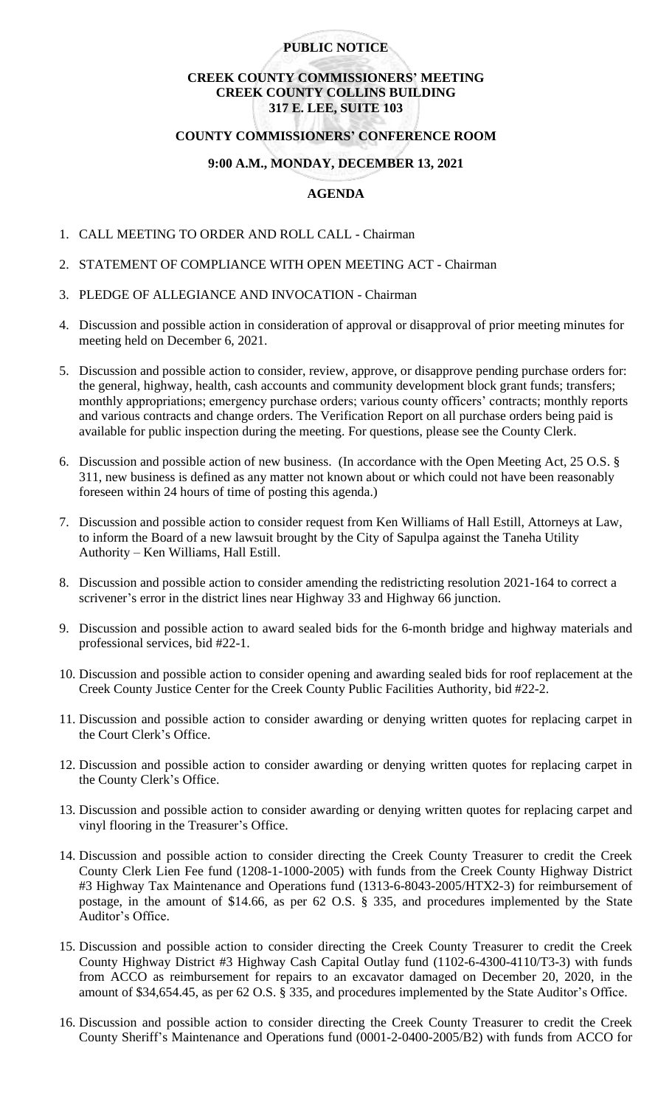# **PUBLIC NOTICE**

# **CREEK COUNTY COMMISSIONERS' MEETING CREEK COUNTY COLLINS BUILDING 317 E. LEE, SUITE 103**

#### **COUNTY COMMISSIONERS' CONFERENCE ROOM**

### **9:00 A.M., MONDAY, DECEMBER 13, 2021**

### **AGENDA**

- 1. CALL MEETING TO ORDER AND ROLL CALL Chairman
- 2. STATEMENT OF COMPLIANCE WITH OPEN MEETING ACT Chairman
- 3. PLEDGE OF ALLEGIANCE AND INVOCATION Chairman
- 4. Discussion and possible action in consideration of approval or disapproval of prior meeting minutes for meeting held on December 6, 2021.
- 5. Discussion and possible action to consider, review, approve, or disapprove pending purchase orders for: the general, highway, health, cash accounts and community development block grant funds; transfers; monthly appropriations; emergency purchase orders; various county officers' contracts; monthly reports and various contracts and change orders. The Verification Report on all purchase orders being paid is available for public inspection during the meeting. For questions, please see the County Clerk.
- 6. Discussion and possible action of new business. (In accordance with the Open Meeting Act, 25 O.S. § 311, new business is defined as any matter not known about or which could not have been reasonably foreseen within 24 hours of time of posting this agenda.)
- 7. Discussion and possible action to consider request from Ken Williams of Hall Estill, Attorneys at Law, to inform the Board of a new lawsuit brought by the City of Sapulpa against the Taneha Utility Authority – Ken Williams, Hall Estill.
- 8. Discussion and possible action to consider amending the redistricting resolution 2021-164 to correct a scrivener's error in the district lines near Highway 33 and Highway 66 junction.
- 9. Discussion and possible action to award sealed bids for the 6-month bridge and highway materials and professional services, bid #22-1.
- 10. Discussion and possible action to consider opening and awarding sealed bids for roof replacement at the Creek County Justice Center for the Creek County Public Facilities Authority, bid #22-2.
- 11. Discussion and possible action to consider awarding or denying written quotes for replacing carpet in the Court Clerk's Office.
- 12. Discussion and possible action to consider awarding or denying written quotes for replacing carpet in the County Clerk's Office.
- 13. Discussion and possible action to consider awarding or denying written quotes for replacing carpet and vinyl flooring in the Treasurer's Office.
- 14. Discussion and possible action to consider directing the Creek County Treasurer to credit the Creek County Clerk Lien Fee fund (1208-1-1000-2005) with funds from the Creek County Highway District #3 Highway Tax Maintenance and Operations fund (1313-6-8043-2005/HTX2-3) for reimbursement of postage, in the amount of \$14.66, as per 62 O.S. § 335, and procedures implemented by the State Auditor's Office.
- 15. Discussion and possible action to consider directing the Creek County Treasurer to credit the Creek County Highway District #3 Highway Cash Capital Outlay fund (1102-6-4300-4110/T3-3) with funds from ACCO as reimbursement for repairs to an excavator damaged on December 20, 2020, in the amount of \$34,654.45, as per 62 O.S. § 335, and procedures implemented by the State Auditor's Office.
- 16. Discussion and possible action to consider directing the Creek County Treasurer to credit the Creek County Sheriff's Maintenance and Operations fund (0001-2-0400-2005/B2) with funds from ACCO for